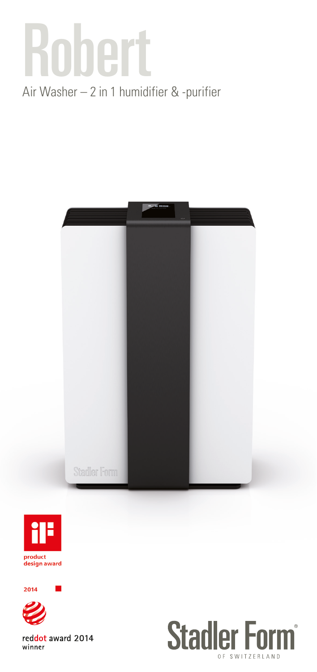## Robert

Air Washer - 2 in 1 humidifier & -purifier





2014



reddot award 2014 winner